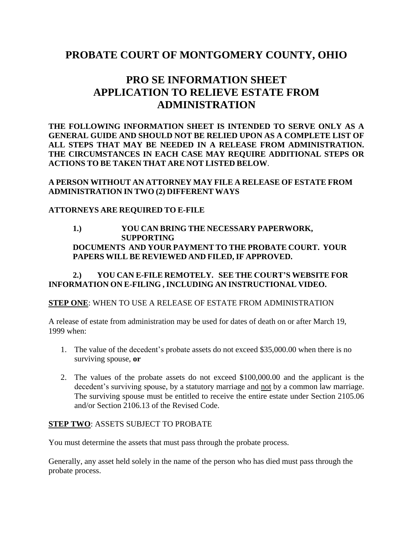### **PROBATE COURT OF MONTGOMERY COUNTY, OHIO**

## **PRO SE INFORMATION SHEET APPLICATION TO RELIEVE ESTATE FROM ADMINISTRATION**

**THE FOLLOWING INFORMATION SHEET IS INTENDED TO SERVE ONLY AS A GENERAL GUIDE AND SHOULD NOT BE RELIED UPON AS A COMPLETE LIST OF ALL STEPS THAT MAY BE NEEDED IN A RELEASE FROM ADMINISTRATION. THE CIRCUMSTANCES IN EACH CASE MAY REQUIRE ADDITIONAL STEPS OR ACTIONS TO BE TAKEN THAT ARE NOT LISTED BELOW**.

**A PERSON WITHOUT AN ATTORNEY MAY FILE A RELEASE OF ESTATE FROM ADMINISTRATION IN TWO (2) DIFFERENT WAYS**

#### **ATTORNEYS ARE REQUIRED TO E-FILE**

#### **1.) YOU CAN BRING THE NECESSARY PAPERWORK, SUPPORTING DOCUMENTS AND YOUR PAYMENT TO THE PROBATE COURT. YOUR PAPERS WILL BE REVIEWED AND FILED, IF APPROVED.**

**2.) YOU CAN E-FILE REMOTELY. SEE THE COURT'S WEBSITE FOR INFORMATION ON E-FILING , INCLUDING AN INSTRUCTIONAL VIDEO.**

#### **STEP ONE**: WHEN TO USE A RELEASE OF ESTATE FROM ADMINISTRATION

A release of estate from administration may be used for dates of death on or after March 19, 1999 when:

- 1. The value of the decedent's probate assets do not exceed \$35,000.00 when there is no surviving spouse, **or**
- 2. The values of the probate assets do not exceed \$100,000.00 and the applicant is the decedent's surviving spouse, by a statutory marriage and not by a common law marriage. The surviving spouse must be entitled to receive the entire estate under Section 2105.06 and/or Section 2106.13 of the Revised Code.

#### **STEP TWO**: ASSETS SUBJECT TO PROBATE

You must determine the assets that must pass through the probate process.

Generally, any asset held solely in the name of the person who has died must pass through the probate process.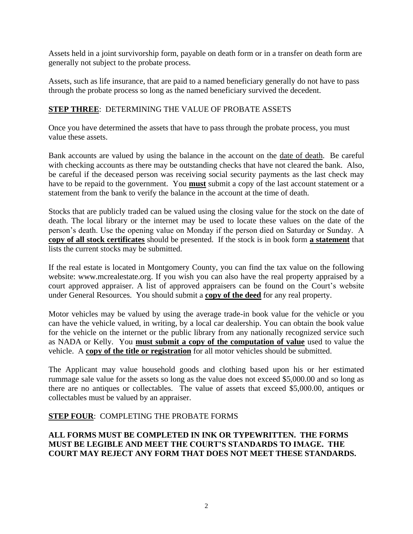Assets held in a joint survivorship form, payable on death form or in a transfer on death form are generally not subject to the probate process.

Assets, such as life insurance, that are paid to a named beneficiary generally do not have to pass through the probate process so long as the named beneficiary survived the decedent.

#### **STEP THREE**: DETERMINING THE VALUE OF PROBATE ASSETS

Once you have determined the assets that have to pass through the probate process, you must value these assets.

Bank accounts are valued by using the balance in the account on the date of death. Be careful with checking accounts as there may be outstanding checks that have not cleared the bank. Also, be careful if the deceased person was receiving social security payments as the last check may have to be repaid to the government. You **must** submit a copy of the last account statement or a statement from the bank to verify the balance in the account at the time of death.

Stocks that are publicly traded can be valued using the closing value for the stock on the date of death. The local library or the internet may be used to locate these values on the date of the person's death. Use the opening value on Monday if the person died on Saturday or Sunday. A **copy of all stock certificates** should be presented. If the stock is in book form **a statement** that lists the current stocks may be submitted.

If the real estate is located in Montgomery County, you can find the tax value on the following website: www.mcrealestate.org. If you wish you can also have the real property appraised by a court approved appraiser. A list of approved appraisers can be found on the Court's website under General Resources. You should submit a **copy of the deed** for any real property.

Motor vehicles may be valued by using the average trade-in book value for the vehicle or you can have the vehicle valued, in writing, by a local car dealership. You can obtain the book value for the vehicle on the internet or the public library from any nationally recognized service such as NADA or Kelly. You **must submit a copy of the computation of value** used to value the vehicle. A **copy of the title or registration** for all motor vehicles should be submitted.

The Applicant may value household goods and clothing based upon his or her estimated rummage sale value for the assets so long as the value does not exceed \$5,000.00 and so long as there are no antiques or collectables. The value of assets that exceed \$5,000.00, antiques or collectables must be valued by an appraiser.

#### **STEP FOUR**: COMPLETING THE PROBATE FORMS

#### **ALL FORMS MUST BE COMPLETED IN INK OR TYPEWRITTEN. THE FORMS MUST BE LEGIBLE AND MEET THE COURT'S STANDARDS TO IMAGE. THE COURT MAY REJECT ANY FORM THAT DOES NOT MEET THESE STANDARDS.**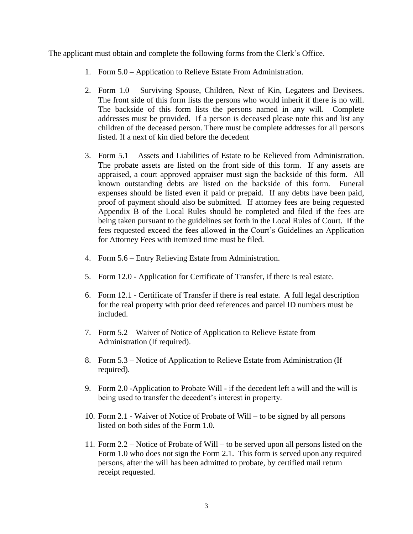The applicant must obtain and complete the following forms from the Clerk's Office.

- 1. Form 5.0 Application to Relieve Estate From Administration.
- 2. Form 1.0 Surviving Spouse, Children, Next of Kin, Legatees and Devisees. The front side of this form lists the persons who would inherit if there is no will. The backside of this form lists the persons named in any will. Complete addresses must be provided. If a person is deceased please note this and list any children of the deceased person. There must be complete addresses for all persons listed. If a next of kin died before the decedent
- 3. Form 5.1 Assets and Liabilities of Estate to be Relieved from Administration. The probate assets are listed on the front side of this form. If any assets are appraised, a court approved appraiser must sign the backside of this form. All known outstanding debts are listed on the backside of this form. Funeral expenses should be listed even if paid or prepaid. If any debts have been paid, proof of payment should also be submitted. If attorney fees are being requested Appendix B of the Local Rules should be completed and filed if the fees are being taken pursuant to the guidelines set forth in the Local Rules of Court. If the fees requested exceed the fees allowed in the Court's Guidelines an Application for Attorney Fees with itemized time must be filed.
- 4. Form 5.6 Entry Relieving Estate from Administration.
- 5. Form 12.0 Application for Certificate of Transfer, if there is real estate.
- 6. Form 12.1 Certificate of Transfer if there is real estate. A full legal description for the real property with prior deed references and parcel ID numbers must be included.
- 7. Form 5.2 Waiver of Notice of Application to Relieve Estate from Administration (If required).
- 8. Form 5.3 Notice of Application to Relieve Estate from Administration (If required).
- 9. Form 2.0 -Application to Probate Will if the decedent left a will and the will is being used to transfer the decedent's interest in property.
- 10. Form 2.1 Waiver of Notice of Probate of Will to be signed by all persons listed on both sides of the Form 1.0.
- 11. Form 2.2 Notice of Probate of Will to be served upon all persons listed on the Form 1.0 who does not sign the Form 2.1. This form is served upon any required persons, after the will has been admitted to probate, by certified mail return receipt requested.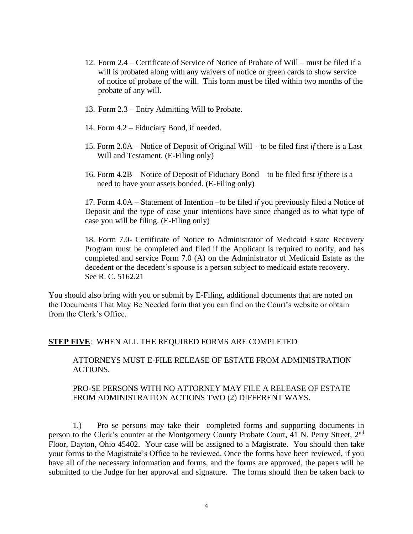- 12. Form 2.4 Certificate of Service of Notice of Probate of Will must be filed if a will is probated along with any waivers of notice or green cards to show service of notice of probate of the will. This form must be filed within two months of the probate of any will.
- 13. Form 2.3 Entry Admitting Will to Probate.
- 14. Form 4.2 Fiduciary Bond, if needed.
- 15. Form 2.0A Notice of Deposit of Original Will to be filed first *if* there is a Last Will and Testament. (E-Filing only)
- 16. Form 4.2B Notice of Deposit of Fiduciary Bond to be filed first *if* there is a need to have your assets bonded. (E-Filing only)

17. Form 4.0A – Statement of Intention –to be filed *if* you previously filed a Notice of Deposit and the type of case your intentions have since changed as to what type of case you will be filing. (E-Filing only)

18. Form 7.0- Certificate of Notice to Administrator of Medicaid Estate Recovery Program must be completed and filed if the Applicant is required to notify, and has completed and service Form 7.0 (A) on the Administrator of Medicaid Estate as the decedent or the decedent's spouse is a person subject to medicaid estate recovery. See R. C. 5162.21

You should also bring with you or submit by E-Filing, additional documents that are noted on the Documents That May Be Needed form that you can find on the Court's website or obtain from the Clerk's Office.

#### **STEP FIVE**: WHEN ALL THE REQUIRED FORMS ARE COMPLETED

ATTORNEYS MUST E-FILE RELEASE OF ESTATE FROM ADMINISTRATION ACTIONS.

#### PRO-SE PERSONS WITH NO ATTORNEY MAY FILE A RELEASE OF ESTATE FROM ADMINISTRATION ACTIONS TWO (2) DIFFERENT WAYS.

1.) Pro se persons may take their completed forms and supporting documents in person to the Clerk's counter at the Montgomery County Probate Court, 41 N. Perry Street, 2<sup>nd</sup> Floor, Dayton, Ohio 45402. Your case will be assigned to a Magistrate. You should then take your forms to the Magistrate's Office to be reviewed. Once the forms have been reviewed, if you have all of the necessary information and forms, and the forms are approved, the papers will be submitted to the Judge for her approval and signature. The forms should then be taken back to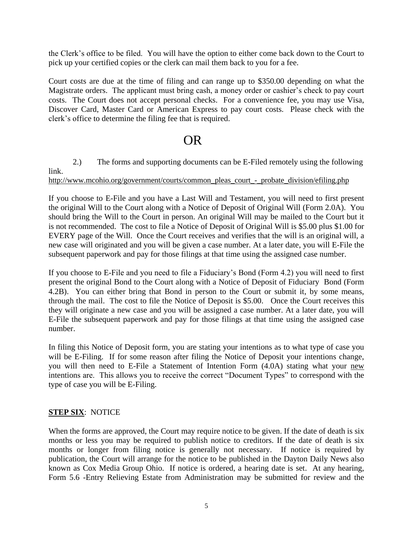the Clerk's office to be filed. You will have the option to either come back down to the Court to pick up your certified copies or the clerk can mail them back to you for a fee.

Court costs are due at the time of filing and can range up to \$350.00 depending on what the Magistrate orders. The applicant must bring cash, a money order or cashier's check to pay court costs. The Court does not accept personal checks. For a convenience fee, you may use Visa, Discover Card, Master Card or American Express to pay court costs. Please check with the clerk's office to determine the filing fee that is required.

# OR

2.) The forms and supporting documents can be E-Filed remotely using the following link.

[http://www.mcohio.org/government/courts/common\\_pleas\\_court\\_-\\_probate\\_division/efiling.php](http://www.mcohio.org/government/courts/common_pleas_court_-_probate_division/efiling.php)

If you choose to E-File and you have a Last Will and Testament, you will need to first present the original Will to the Court along with a Notice of Deposit of Original Will (Form 2.0A). You should bring the Will to the Court in person. An original Will may be mailed to the Court but it is not recommended. The cost to file a Notice of Deposit of Original Will is \$5.00 plus \$1.00 for EVERY page of the Will. Once the Court receives and verifies that the will is an original will, a new case will originated and you will be given a case number. At a later date, you will E-File the subsequent paperwork and pay for those filings at that time using the assigned case number.

If you choose to E-File and you need to file a Fiduciary's Bond (Form 4.2) you will need to first present the original Bond to the Court along with a Notice of Deposit of Fiduciary Bond (Form 4.2B). You can either bring that Bond in person to the Court or submit it, by some means, through the mail. The cost to file the Notice of Deposit is \$5.00. Once the Court receives this they will originate a new case and you will be assigned a case number. At a later date, you will E-File the subsequent paperwork and pay for those filings at that time using the assigned case number.

In filing this Notice of Deposit form, you are stating your intentions as to what type of case you will be E-Filing. If for some reason after filing the Notice of Deposit your intentions change, you will then need to E-File a Statement of Intention Form (4.0A) stating what your new intentions are. This allows you to receive the correct "Document Types" to correspond with the type of case you will be E-Filing.

#### **STEP SIX**: NOTICE

When the forms are approved, the Court may require notice to be given. If the date of death is six months or less you may be required to publish notice to creditors. If the date of death is six months or longer from filing notice is generally not necessary. If notice is required by publication, the Court will arrange for the notice to be published in the Dayton Daily News also known as Cox Media Group Ohio. If notice is ordered, a hearing date is set. At any hearing, Form 5.6 -Entry Relieving Estate from Administration may be submitted for review and the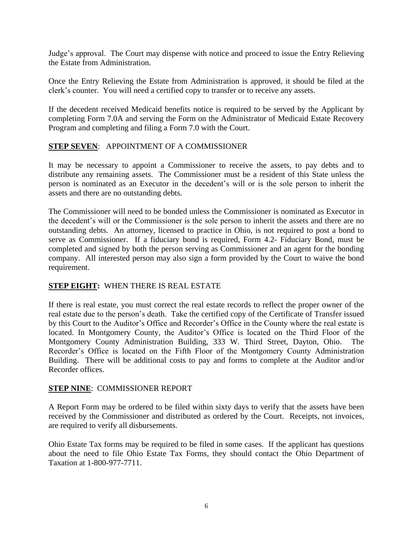Judge's approval. The Court may dispense with notice and proceed to issue the Entry Relieving the Estate from Administration.

Once the Entry Relieving the Estate from Administration is approved, it should be filed at the clerk's counter. You will need a certified copy to transfer or to receive any assets.

If the decedent received Medicaid benefits notice is required to be served by the Applicant by completing Form 7.0A and serving the Form on the Administrator of Medicaid Estate Recovery Program and completing and filing a Form 7.0 with the Court.

#### **STEP SEVEN**: APPOINTMENT OF A COMMISSIONER

It may be necessary to appoint a Commissioner to receive the assets, to pay debts and to distribute any remaining assets. The Commissioner must be a resident of this State unless the person is nominated as an Executor in the decedent's will or is the sole person to inherit the assets and there are no outstanding debts.

The Commissioner will need to be bonded unless the Commissioner is nominated as Executor in the decedent's will or the Commissioner is the sole person to inherit the assets and there are no outstanding debts. An attorney, licensed to practice in Ohio, is not required to post a bond to serve as Commissioner. If a fiduciary bond is required, Form 4.2- Fiduciary Bond, must be completed and signed by both the person serving as Commissioner and an agent for the bonding company. All interested person may also sign a form provided by the Court to waive the bond requirement.

#### **STEP EIGHT:** WHEN THERE IS REAL ESTATE

If there is real estate, you must correct the real estate records to reflect the proper owner of the real estate due to the person's death. Take the certified copy of the Certificate of Transfer issued by this Court to the Auditor's Office and Recorder's Office in the County where the real estate is located. In Montgomery County, the Auditor's Office is located on the Third Floor of the Montgomery County Administration Building, 333 W. Third Street, Dayton, Ohio. The Recorder's Office is located on the Fifth Floor of the Montgomery County Administration Building. There will be additional costs to pay and forms to complete at the Auditor and/or Recorder offices.

#### **STEP NINE**: COMMISSIONER REPORT

A Report Form may be ordered to be filed within sixty days to verify that the assets have been received by the Commissioner and distributed as ordered by the Court. Receipts, not invoices, are required to verify all disbursements.

Ohio Estate Tax forms may be required to be filed in some cases. If the applicant has questions about the need to file Ohio Estate Tax Forms, they should contact the Ohio Department of Taxation at 1-800-977-7711.